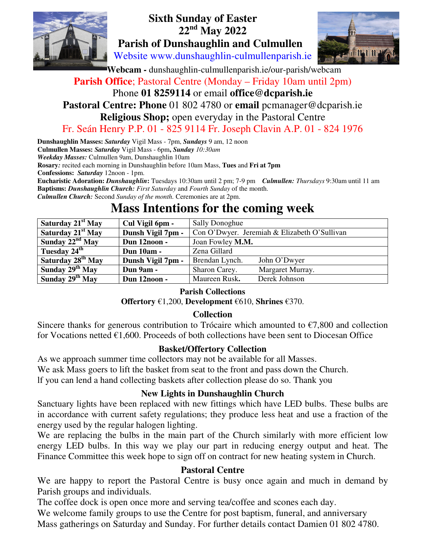

# **Sixth Sunday of Easter 22nd May 2022 Parish of Dunshaughlin and Culmullen**

Website www.dunshaughlin-culmullenparish.ie



 **Webcam -** dunshaughlin-culmullenparish.ie/our-parish/webcam

## **Parish Office**; Pastoral Centre (Monday – Friday 10am until 2pm) Phone **01 8259114** or email **office@dcparish.ie**

# **Pastoral Centre: Phone** 01 802 4780 or **email** pcmanager@dcparish.ie **Religious Shop;** open everyday in the Pastoral Centre

### Fr. Seán Henry P.P. 01 - 825 9114 Fr. Joseph Clavin A.P. 01 - 824 1976

**Dunshaughlin Masses:** *Saturday* Vigil Mass - 7pm, *Sundays* 9 am, 12 noon **Culmullen Masses:** *Saturday* Vigil Mass - 6pm**,** *Sunday 10:30am Weekday Masses:* Culmullen 9am, Dunshaughlin 10am **Rosary***:* recited each morning in Dunshaughlin before 10am Mass, **Tues** and **Fri at 7pm Confessions:** *Saturday* 12noon - 1pm. **Eucharistic Adoration:** *Dunshaughlin***:** Tuesdays 10:30am until 2 pm; 7-9 pm *Culmullen: Thursdays* 9:30am until 11 am

**Baptisms:** *Dunshaughlin Church: First Saturday* and *Fourth Sunday* of the month. *Culmullen Church:* Second *Sunday of the month.* Ceremonies are at 2pm.

# **Mass Intentions for the coming week**

| Saturday 21 <sup>st</sup> May | Cul Vigil 6pm -   | <b>Sally Donoghue</b>                        |                  |
|-------------------------------|-------------------|----------------------------------------------|------------------|
| Saturday 21 <sup>st</sup> May | Dunsh Vigil 7pm - | Con O'Dwyer. Jeremiah & Elizabeth O'Sullivan |                  |
| Sunday $22nd$ May             | Dun 12noon -      | Joan Fowley M.M.                             |                  |
| Tuesday 24 <sup>th</sup>      | <b>Dun 10am -</b> | Zena Gillard                                 |                  |
| Saturday 28 <sup>th</sup> May | Dunsh Vigil 7pm - | Brendan Lynch.                               | John O'Dwyer     |
| Sunday $29th$ May             | Dun 9am -         | Sharon Carey.                                | Margaret Murray. |
| Sunday $29th$ May             | Dun 12noon -      | Maureen Rusk.                                | Derek Johnson    |

#### **Parish Collections**

**Offertory** €1,200, **Development** €610, **Shrines** €370.

### **Collection**

Sincere thanks for generous contribution to Trócaire which amounted to  $\epsilon$ 7,800 and collection for Vocations netted  $\epsilon$ 1,600. Proceeds of both collections have been sent to Diocesan Office

#### **Basket/Offertory Collection**

As we approach summer time collectors may not be available for all Masses.

We ask Mass goers to lift the basket from seat to the front and pass down the Church.

lf you can lend a hand collecting baskets after collection please do so. Thank you

#### **New Lights in Dunshaughlin Church**

Sanctuary lights have been replaced with new fittings which have LED bulbs. These bulbs are in accordance with current safety regulations; they produce less heat and use a fraction of the energy used by the regular halogen lighting.

We are replacing the bulbs in the main part of the Church similarly with more efficient low energy LED bulbs. In this way we play our part in reducing energy output and heat. The Finance Committee this week hope to sign off on contract for new heating system in Church.

### **Pastoral Centre**

We are happy to report the Pastoral Centre is busy once again and much in demand by Parish groups and individuals.

The coffee dock is open once more and serving tea/coffee and scones each day.

We welcome family groups to use the Centre for post baptism, funeral, and anniversary Mass gatherings on Saturday and Sunday. For further details contact Damien 01 802 4780.